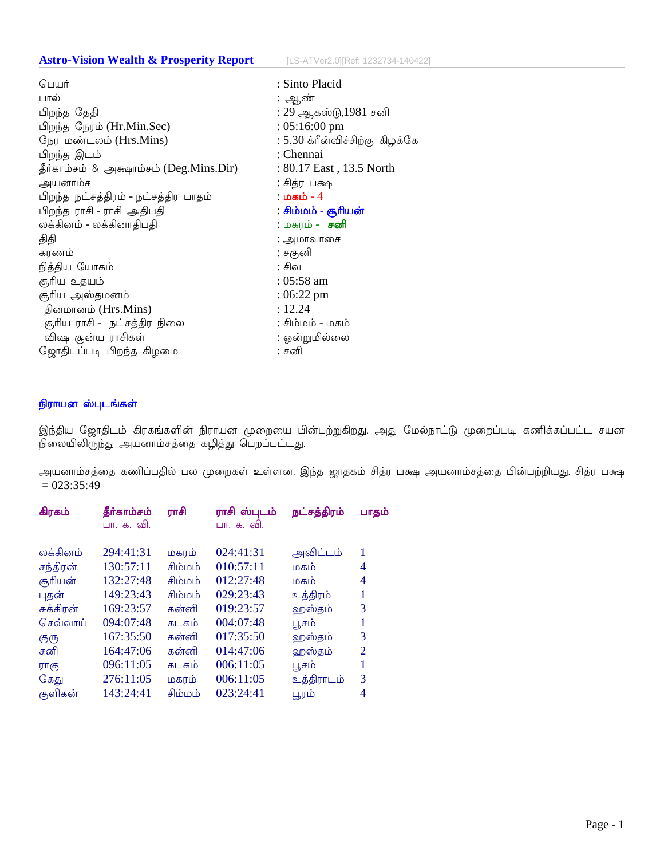## **Astro-Vision Wealth & Prosperity Report**

[LS-ATVer2.0][Ref: 1232734-140422]

| : Sinto Placid                  |
|---------------------------------|
| : ஆண்                           |
| : 29 ஆகஸ்டு,1981 சனி            |
| $: 05:16:00$ pm                 |
| : 5.30 க்ரீன்விச்சிற்கு கிழக்கே |
| : Chennai                       |
| : 80.17 East, 13.5 North        |
| : சித்ர பக்ஷ                    |
| : மகம் - 4                      |
| : சிம்மம் - சூரியன்             |
| : மகரம் - <b>சனி</b>            |
| : அமாவாசை                       |
| : சகுனி                         |
| : சிவ                           |
| : 05:58 am                      |
| $:06:22 \text{ pm}$             |
| : 12.24                         |
| ் சிம்மம் - மகம்                |
| : ஒன்றுமில்லை                   |
| : சனி                           |
|                                 |

## நிராயன ஸ்புடங்கள்

இந்திய ஜோதிடம் கிரகங்களின் நிராயன முறையை பின்பற்றுகிறது. அது மேல்நாட்டு முறைப்படி கணிக்கப்பட்ட சயன 

அயனாம்சத்தை கணிப்பதில் பல முறைகள் உள்ளன. இந்த ஜாதகம் சித்ர பக்ஷ அயனாம்சத்தை பின்பற்றியது. சித்ர பக்ஷ  $= 023:35:49$ 

| கிரகம்    | தீர்காம்சம் | ராசி    | ராசி ஸ்புடம் | நட்சத்திரம் | பாதம்          |
|-----------|-------------|---------|--------------|-------------|----------------|
|           | பா. க. வி.  |         | பா. க. வி.   |             |                |
|           |             |         |              |             |                |
| லக்கினம்  | 294:41:31   | மகரம்   | 024:41:31    | அவிட்டம்    | 1              |
| சந்திரன்  | 130:57:11   | சிம்மம் | 010:57:11    | மகம்        | 4              |
| சூரியன்   | 132:27:48   | சிம்மம் | 012:27:48    | மகம்        | 4              |
| புதன்     | 149:23:43   | சிம்மம் | 029:23:43    | உத்திரம்    | 1              |
| சுக்கிரன் | 169:23:57   | கன்னி   | 019:23:57    | ஹஸ்தம்      | 3              |
| செவ்வாய்  | 094:07:48   | கடகம்   | 004:07:48    | பூசம்       |                |
| குரு      | 167:35:50   | கன்னி   | 017:35:50    | ஹஸ்தம்      | 3              |
| சனி       | 164:47:06   | கன்னி   | 014:47:06    | ஹஸ்தம்      | $\overline{2}$ |
| ராகு      | 096:11:05   | கடகம்   | 006:11:05    | பூசம்       | 1              |
| கேது      | 276:11:05   | மகரம்   | 006:11:05    | உத்திராடம்  | 3              |
| குளிகன்   | 143:24:41   | சிம்மம் | 023:24:41    | பூரம்       | 4              |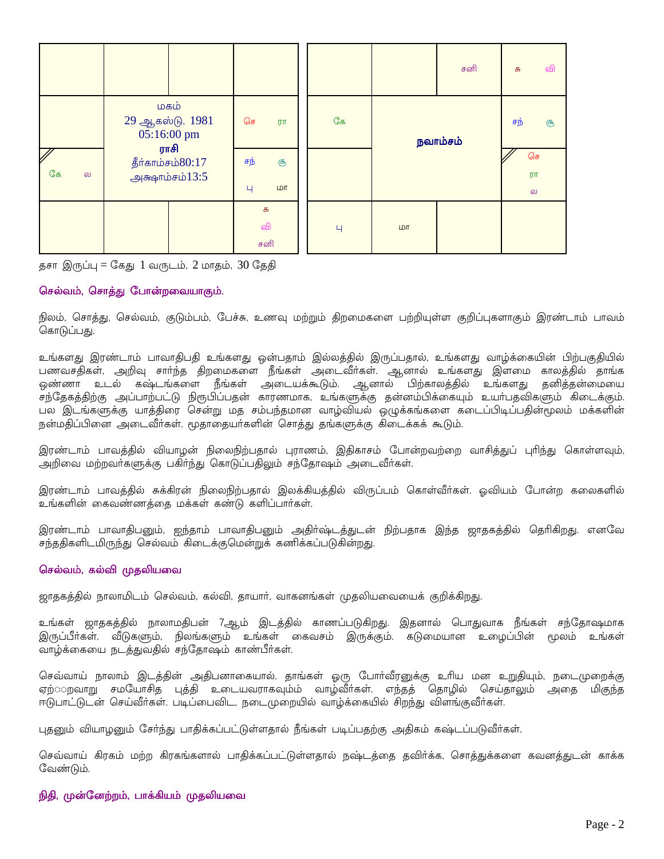|                                     |                                               |                       |    |     | சனி      | வி<br>சு             |
|-------------------------------------|-----------------------------------------------|-----------------------|----|-----|----------|----------------------|
|                                     | மகம்<br>29 ஆகஸ்டு, 1981<br>05:16:00 pm        | செ<br>UT              | கே |     | நவாம்சம் |                      |
| $\overline{\mathscr{S}}$<br>கே<br>ல | ராசி<br>தீர்காம்சம் $80:17$<br>அக்ஷாம்சம்13:5 | சந்<br>சூ<br>LDT<br>Ч |    |     |          | செ<br>ரா<br>$\omega$ |
|                                     |                                               | சு<br>வி<br>சனி       | Ч  | LDT |          |                      |

தசா இருப்பு = கேது 1 வருடம், 2 மாதம்,  $30$  தேதி

## செல்வம், சொத்து போன்றவையாகும்.

நிலம், சொத்து, செல்வம், குடும்பம், பேச்சு, உணவு மற்றும் திறமைகளை பற்றியுள்ள குறிப்புகளாகும் இரண்டாம் பாவம் கொடுப்பது.

உங்களது இரண்டாம் பாவாதிபதி உங்களது ஒன்பதாம் இல்லத்தில் இருப்பதால், உங்களது வாழ்க்கையின் பிற்பகுதியில் பணவசதிகள், அறிவு சார்ந்த திறமைகளை நீங்கள் அடைவீர்கள். ஆனால் உங்களது இளமை காலத்தில் தாங்க .<br>ஒண்ணா உடல் கஷ்டங்களை நீங்கள் அடையக்கூடும். ஆனால் பிற்காலத்தில் உங்களது தனித்தன்மையை ,<br>சந்தேகத்திற்கு அப்பாற்பட்டு நிரூபிப்பதன் காரணமாக, உங்களுக்கு தன்னம்பிக்கையும் உயா்பதவிகளும் கிடைக்கும். பல இடங்களுக்கு யாத்திரை சென்று மத சம்பந்தமான வாழ்வியல் ஒழுக்கங்களை கடைப்பிடிப்பதின்மூலம் மக்களின் நன்மதிப்பினை அடைவீர்கள். மூதாதையர்களின் சொத்து தங்களுக்கு கிடைக்கக் கூடும்.

இரண்டாம் பாவத்தில் வியாழன் நிலைநிற்பதால் புராணம், இதிகாசம் போன்றவற்றை வாசித்துப் புரிந்து கொள்ளவும், அறிவை மற்றவாகளுக்கு பகிா்ந்து கொடுப்பதிலும் சந்தோஷம் அடைவீா்கள்.

இரண்டாம் பாவத்தில் சுக்கிரன் நிலைநிற்பதால் இலக்கியத்தில் விருப்பம் கொள்வீா்கள். ஓவியம் போன்ற கலைகளில் உங்களின் கைவண்ணத்தை மக்கள் கண்டு களிப்பார்கள்.

இரண்டாம் பாவாதிபனும், ஐந்தாம் பாவாதிபனும் அதிர்ஷ்டத்துடன் நிற்பதாக இந்த ஜாதகத்தில் தெரிகிறது. எனவே சந்ததிகளிடமிருந்து செல்வம் கிடைக்குமென்றுக் கணிக்கப்படுகின்றது.

#### செல்வம், கல்வி முதலியவை

ஜாதகத்தில் நாலாமிடம் செல்வம், கல்வி, தாயார், வாகனங்கள் முதலியவையைக் குறிக்கிறது.

உங்கள் ஜாதகத்தில் நாலாமதிபன் 7ஆம் இடத்தில் காணப்படுகிறது. இதனால் பொதுவாக நீங்கள் சந்தோஷமாக இருப்பீா்கள். வீடுகளும், நிலங்களும் உங்கள் கைவசம் இருக்கும். கடுமையான உழைப்பின் மூலம் உங்கள் வாழ்க்கையை நடத்துவதில் சந்தோஷம் காண்பீர்கள்.

செவ்வாய் நாலாம் இடத்தின் அதிபனாகையால். தாங்கள் ஒரு போர்வீரனுக்கு உரிய மன உறுதியும், நடைமுறைக்கு ஏற்ுறவாறு சமயோசித புத்தி உடையவராகவும்ம் வாழ்வீா்கள். எந்தத் தொழில் செய்தாலும் அதை மிகுந்த ஈடுபாட்டுடன் செய்வீா்கள். படிப்பைவிட, நடைமுறையில் வாழ்க்கையில் சிறந்து விளங்குவீா்கள்.

புதனும் வியாழனும் சேர்ந்து பாதிக்கப்பட்டுள்ளதால் நீங்கள் படிப்பதற்கு அதிகம் கஷ்டப்படுவீர்கள்.

செவ்வாய் கிரகம் மற்ற கிரகங்களால் பாதிக்கப்பட்டுள்ளதால் நஷ்டத்தை தவிர்க்க, சொத்துக்களை கவனத்துடன் காக்க வேண்டும்.

## நிதி, முன்னேற்றம், பாக்கியம் முதலியவை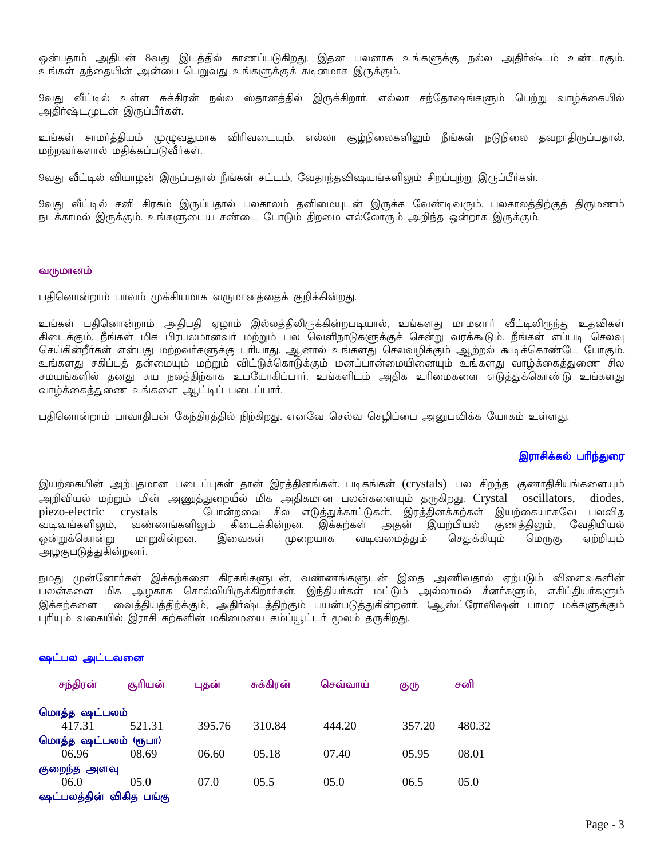ஒன்பதாம் அதிபன் 8வது இடத்தில் காணப்படுகிறது. இதன பலனாக உங்களுக்கு நல்ல அதிா்ஷ்டம் உண்டாகும். உங்கள் தந்தையின் அன்பை பெறுவது உங்களுக்குக் கடினமாக இருக்கும்.

9வது வீட்டில் உள்ள சுக்கிரன் நல்ல ஸ்தானத்தில் இருக்கிறார். எல்லா சந்தோஷங்களும் பெற்று வாழ்க்கையில் அதிர்ஷ்டமுடன் இருப்பீர்கள்.

உங்கள் சாமா்த்தியம் முழுவதுமாக விாிவடையும். எல்லா சூழ்நிலைகளிலும் நீங்கள் நடுநிலை தவறாதிருப்பதால், மற்றவர்களால் மதிக்கப்படுவீர்கள்.

9வது வீட்டில் வியாழன் இருப்பதால் நீங்கள் சட்டம், வேதாந்தவிஷயங்களிலும் சிறப்புற்று இருப்பீா்கள்.

9வது வீட்டில் சனி கிரகம் இருப்பதால் பலகாலம் தனிமையுடன் இருக்க வேண்டிவரும். பலகாலத்திற்குத் திருமணம் நடக்காமல் இருக்கும். உங்களுடைய சண்டை போடும் திறமை எல்லோரும் அறிந்த ஒன்றாக இருக்கும்.

#### வருமானம்

பதினொன்றாம் பாவம் முக்கியமாக வருமானத்தைக் குறிக்கின்றது.

உங்கள் பதினொன்றாம் அதிபதி ஏழாம் இல்லத்திலிருக்கின்றபடியால், உங்களது மாமனாா் வீட்டிலிருந்து உதவிகள் கிடைக்கும். நீங்கள் மிக பிரபலமானவா் மற்றும் பல வெளிநாடுகளுக்குச் சென்று வரக்கூடும். நீங்கள் எப்படி செலவு செய்கின்றீா்கள் என்பது மற்றவா்களுக்கு புாியாது. ஆனால் உங்களது செலவழிக்கும் ஆற்றல் கூடிக்கொண்டே போகும். உங்களது சகிப்புத் தன்மையும் மற்றும் விட்டுக்கொடுக்கும் மனப்பான்மையினையும் உங்களது வாழ்க்கைத்துணை சில .<br>சமயங்களில் தனது சுய நலத்திற்காக உபயோகிப்பாா். உங்களிடம் அதிக உாிமைகளை எடுத்துக்கொண்டு உங்களது வாழ்க்கைத்துணை உங்களை ஆட்டிப் படைப்பார்.

பதினொன்றாம் பாவாதிபன் கேந்திரத்தில் நிற்கிறது. எனவே செல்வ செழிப்பை அனுபவிக்க யோகம் உள்ளது.

#### இராசிக்கல் பரிந்துரை

இயற்கையின் அற்புதமான படைப்புகள் தான் இரத்தினங்கள். படிகங்கள் (crystals) பல சிறந்த குணாதிசியங்களையும் அறிவியல் மற்றும் மின் அணுத்துறையீல் மிக அதிகமான பலன்களையும் தருகிறது. Crystal oscillators, diodes. போன்றவை சில எடுத்துக்காட்டுகள். இரத்தினக்கற்கள் இயற்கையாகவே பலவிக piezo-electric crystals .<br>வடிவங்களிலும், வண்ணங்களிலும் கிடைக்கின்றன. இக்கற்கள் அதன் இயற்பியல் குணத்திலும், வேதியியல் ஒன்றுக்கொன்று மாறுகின்றன. இவைகள் முறையாக வடிவமைத்தும் செதுக்கியும் மெருகு ஏற்றியும் அழகுபடுத்துகின்றனர்.

நமது முன்னோர்கள் இக்கற்களை கிரகங்களுடன், வண்ணங்களுடன் இதை அணிவதால் ஏற்படும் விளைவுகளின் .<br>பலன்களை மிக அழகாக சொல்லியிருக்கிறார்கள். இந்தியர்கள் மட்டும் அல்லாமல் சீனர்களும், எகிப்தியாகளும் இக்கற்களை வைத்தியத்திற்க்கும், அதிர்ஷ்டத்திற்கும் பயன்படுத்துகின்றனர். (ஆஸ்ட்ரோவிஷன் பாமர மக்களுக்கும் புரியும் வகையில் இராசி கற்களின் மகிமையை கம்ப்யூட்டர் மூலம் தருகிறது.

| சந்திரன்                | சூரியன் | புதன்  | சுக்கிரன் | செவ்வாய் | குரு   | சனி    |
|-------------------------|---------|--------|-----------|----------|--------|--------|
| மொத்த ஷட்பலம்           |         |        |           |          |        |        |
| 417.31                  | 521.31  | 395.76 | 310.84    | 444.20   | 357.20 | 480.32 |
| மொத்த ஷட்பலம் (ரூபா)    |         |        |           |          |        |        |
| 06.96                   | 08.69   | 06.60  | 05.18     | 07.40    | 05.95  | 08.01  |
| குறைந்த அளவு            |         |        |           |          |        |        |
| 06.0                    | 05.0    | 07.0   | 05.5      | 05.0     | 06.5   | 05.0   |
| ஷட்பலக்கின் விகிக பங்கு |         |        |           |          |        |        |

#### ஷட்பல அட்டவனை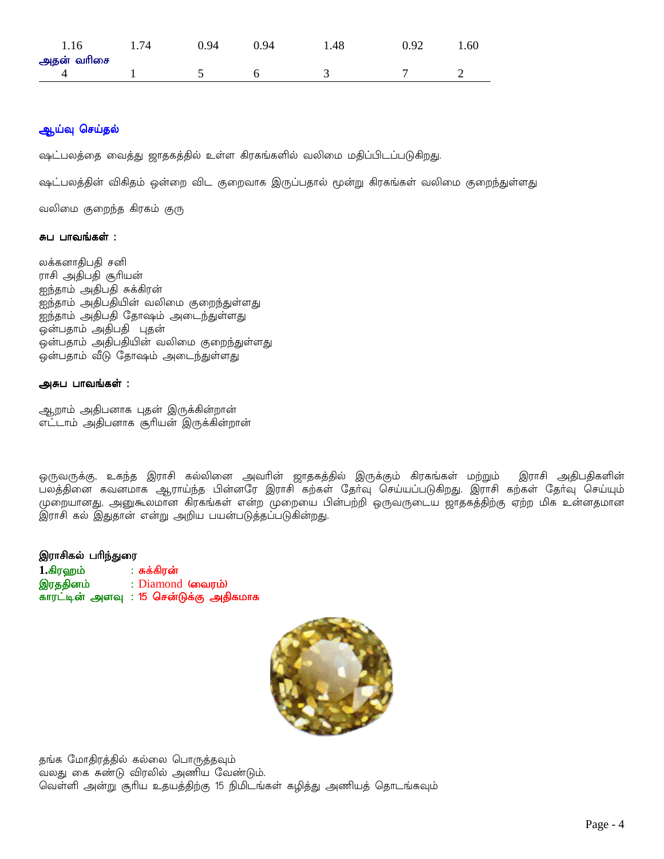| 1.16       | 74 | 0.94 | 0.94 | .48 | 0.92 | 1.60 |
|------------|----|------|------|-----|------|------|
| அதன் வரிசை |    |      |      |     |      |      |
|            |    |      |      |     |      | -    |

# ஆய்வு செய்தல்

ஷட்பலத்தை வைத்து ஜாதகத்தில் உள்ள கிரகங்களில் வலிமை மதிப்பிடப்படுகிறது.

ஷட்பலத்தின் விகிதம் ஒன்றை விட குறைவாக இருப்பதால் மூன்று கிரகங்கள் வலிமை குறைந்துள்ளது

வலிமை குறைந்த கிரகம் குரு

#### சுப பாவங்கள் :

லக்கனாதிபதி சனி ராசி அதிபதி சூரியன் ஐந்தாம் அதிபதி சுக்கிரன் ....<br>ஐந்தாம் அதிபதியின் வலிமை குறைந்துள்ளது ஐந்தாம் அதிபதி தோஷம் அடைந்துள்ளது ஒன்பதாம் அதிபதி புதன் ஒன்பதாம் அதிபதியின் வலிமை குறைந்துள்ளது ஒன்பதாம் வீடு தோஷம் அடைந்துள்ளது

#### அசுப பாவங்கள் :

ஆறாம் அதிபனாக புதன் இருக்கின்றான் எட்டாம் அதிபனாக சூரியன் இருக்கின்றான்

ஒருவருக்கு, உகந்த இராசி கல்லினை அவாின் ஜாதகத்தில் இருக்கும் கிரகங்கள் மற்றும் இராசி அதிபதிகளின் பலத்தினை கவனமாக ஆராய்ந்த பின்னரே இராசி கற்கள் தோ்வு செய்யப்படுகிறது. இராசி கற்கள் தோ்வு செய்யும் முறையானது, அனுகூலமான கிரகங்கள் என்ற முறையை பின்பற்றி ஒருவருடைய ஜாதகத்திற்கு ஏற்ற மிக உன்னதமான இராசி கல் இதுதான் என்று அறிய பயன்படுத்தப்படுகின்றது.

#### இராசிகல் பரிந்துரை

1.கிரஹம் : சுக்கிரன் இரததினம் : Diamond (வைரம்) காரட்டின் அளவு : 15 சென்டுக்கு அதிகமாக



தங்க மோதிரத்தில் கல்லை பொருத்தவும் வலது கை சுண்டு விரலில் அணிய வேண்டும். வெள்ளி அன்று சூரிய உதயத்திற்கு 15 நிமிடங்கள் கழித்து அணியத் தொடங்கவும்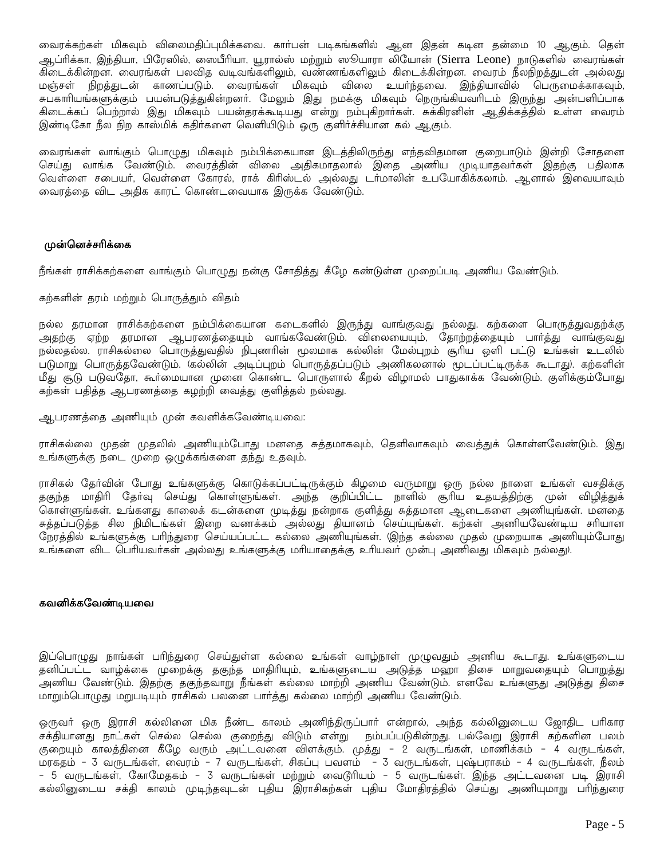வைரக்கற்கள் மிகவும் விலைமதிப்புமிக்கவை. காா்பன் படிகங்களில் ஆன இதன் கடின தன்மை 10 ஆகும். தென் ஆப்ரிக்கா, இந்தியா, பிரேஸில், ஸைபீரியா, யூரால்ஸ் மற்றும் ஸூயாரா லியோன் (Sierra Leone) நாடுகளில் வைரங்கள் ு<br>கிடைக்கின்றன. வைரங்கள் பலவித வடிவங்களிலும், வண்ணங்களிலும் கிடைக்கின்றன. வைரம் நீலநிறத்துடன் அல்லது .<br>மஞ்சள் நிறத்துடன் காணப்படும். வைரங்கள் மிகவும் விலை உயர்ந்தவை. இந்தியாவில் பெருமைக்காகவும், சுபகாரியங்களுக்கும் பயன்படுத்துகின்றனா். மேலும் இது நமக்கு மிகவும் நெருங்கியவாிடம் இருந்து அன்பளிப்பாக .<br>கிடைக்கப் பெற்றால் இது மிகவும் பயன்தரக்கூடியது என்று நம்புகிறாா்கள். சுக்கிரனின் ஆதிக்கத்தில் உள்ள வைரம் இண்டிகோ நீல நிற காஸ்மிக் கதிர்களை வெளியிடும் ஒரு குளிர்ச்சியான கல் ஆகும்.

வைரங்கள் வாங்கும் பொழுது மிகவும் நம்பிக்கையான இடத்திலிருந்து எந்தவிதமான குறைபாடும் இன்றி சோதனை செய்து வாங்க வேண்டும். வைரத்தின் விலை அதிகமாதலால் இதை அணிய முடியாதவாகள் இதற்கு பதிலாக வெள்ளை சபையா், வெள்ளை கோரல், ராக் கிாிஸ்டல் அல்லது டா்மாலின் உபயோகிக்கலாம். ஆனால் இவையாவும் வைரத்தை விட அதிக காரட் கொண்டவையாக இருக்க வேண்டும்.

#### முன்னெச்சரிக்கை

நீங்கள் ராசிக்கற்களை வாங்கும் பொழுது நன்கு சோதித்து கீழே கண்டுள்ள முறைப்படி அணிய வேண்டும்.

#### கற்களின் தரம் மற்றும் பொருத்தும் விதம்

நல்ல தரமான ராசிக்கற்களை நம்பிக்கையான கடைகளில் இருந்து வாங்குவது நல்லது. கற்களை பொருத்துவதற்க்கு .<br>அதற்கு ஏற்ற தரமான ஆபரணத்தையும் வாங்கவேண்டும். விலையையும், தோற்றத்தையும் பார்த்து வாங்குவது நல்லதல்ல. ராசிகல்லை பொருத்துவதில் நிபுணரின் மூலமாக கல்லின் மேல்புறம் சூரிய ஒளி பட்டு உங்கள் உடலில் படுமாறு பொருத்தவேண்டும். கெல்லின் அடிப்புறம் பொருத்தப்படும் அணிகலனால் மூடப்பட்டிருக்க கூடாது). கற்களின் .<br>மீது சூடு படுவதோ, கூர்மையான முனை கொண்ட பொருளால் கீறல் விமாமல் பாதுகாக்க வேண்டும். குளிக்கும்போது கற்கள் பதித்த ஆபரணத்தை கழற்றி வைத்து குளித்தல் நல்லது.

ஆபரணத்தை அணியும் முன் கவனிக்கவேண்டியவை:

ராசிகல்லை முதன் முதலில் அணியும்போது மனதை சுத்தமாகவும், தெளிவாகவும் வைத்துக் கொள்ளவேண்டும். இது உங்களுக்கு நடை முறை ஒழுக்கங்களை தந்து உதவும்.

ராசிகல் தோ்வின் போது உங்களுக்கு கொடுக்கப்பட்டிருக்கும் கிழமை வருமாறு ஒரு நல்ல நாளை உங்கள் வசதிக்கு தகுந்த மாதிரி தேர்வு செய்து கொள்ளுங்கள். அந்த குறிப்பிட்ட நாளில் சூரிய உதயத்திற்கு முன் விழித்துக் .<br>கொள்ளுங்கள். உங்களது காலைக் கடன்களை முடித்து நன்றாக குளித்து சுத்தமான ஆடைகளை அணியுங்கள். மனதை சுத்தப்படுத்த சில நிமிடங்கள் இறை வணக்கம் அல்லது தியானம் செய்யுங்கள். கற்கள் அணியவேண்டிய சரியான நேரத்தில் உங்களுக்கு பாிந்துரை செய்யப்பட்ட கல்லை அணியுங்கள். (இந்த கல்லை முதல் முறையாக அணியும்போது 

### கவனிக்கவேண்டியவை

இப்பொழுது நாங்கள் பாிந்துரை செய்துள்ள கல்லை உங்கள் வாழ்நாள் முழுவதும் அணிய கூடாது. உங்களுடைய .<br>தனிப்பட்ட வாழ்க்கை முறைக்கு தகுந்த மாதிரியும், உங்களுடைய அடுத்த மஹா திசை மாறுவதையும் பொறுத்து அணிய வேண்டும். இதற்கு தகுந்தவாறு நீங்கள் கல்லை மாற்றி அணிய வேண்டும். எனவே உங்களுது அடுத்து திசை மாறும்பொழுது மறுபடியும் ராசிகல் பலனை பார்த்து கல்லை மாற்றி அணிய வேண்டும்.

ஒருவா் ஒரு இராசி கல்லினை மிக நீண்ட காலம் அணிந்திருப்பாா் என்றால், அந்த கல்லினுடைய ஜோதிட பாிகார சக்தியானது நாட்கள் செல்ல செல்ல குறைந்து விடும் என்று நம்பப்படுகின்றது. பல்வேறு இராசி கற்களின பலம் குறையும் காலத்தினை கீழே வரும் அட்டவனை விளக்கும். முத்து - 2 வருடங்கள், மாணிக்கம் - 4 வருடங்கள், – 5 வருடங்கள், கோமேதகம் – 3 வருடங்கள் மற்றும் வைடூரியம் – 5 வருடங்கள். இந்த அட்டவனை படி இராசி கல்லினுடைய சக்தி காலம் முடிந்தவுடன் புதிய இராசிகற்கள் புதிய மோதிரத்தில் செய்து அணியுமாறு பரிந்துரை